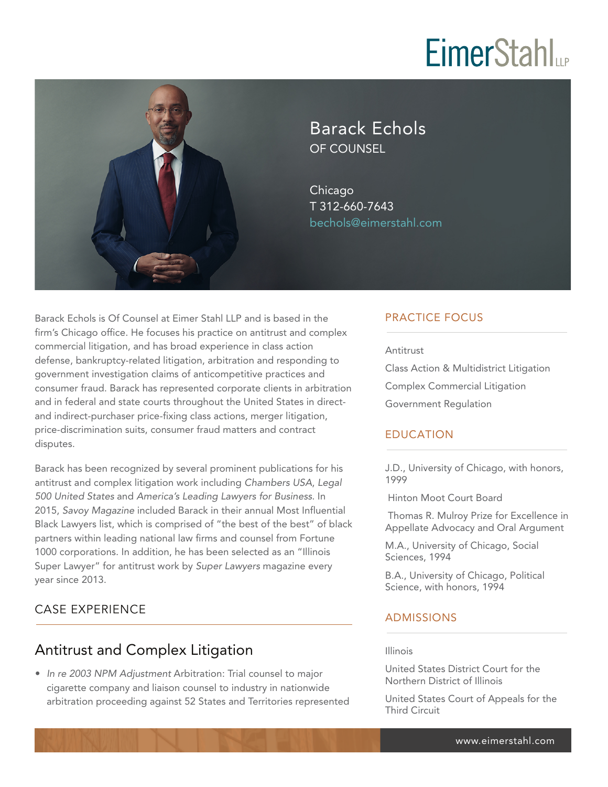# **EimerStahl**



Barack Echols OF COUNSEL

Chicago T 312-660-7643 bechols@eimerstahl.com

Barack Echols is Of Counsel at Eimer Stahl LLP and is based in the firm's Chicago office. He focuses his practice on antitrust and complex commercial litigation, and has broad experience in class action defense, bankruptcy-related litigation, arbitration and responding to government investigation claims of anticompetitive practices and consumer fraud. Barack has represented corporate clients in arbitration and in federal and state courts throughout the United States in directand indirect-purchaser price-fixing class actions, merger litigation, price-discrimination suits, consumer fraud matters and contract disputes.

Barack has been recognized by several prominent publications for his antitrust and complex litigation work including *Chambers USA*, *Legal 500 United States* and *America's Leading Lawyers for Business*. In 2015, *Savoy Magazine* included Barack in their annual Most Influential Black Lawyers list, which is comprised of "the best of the best" of black partners within leading national law firms and counsel from Fortune 1000 corporations. In addition, he has been selected as an "Illinois Super Lawyer" for antitrust work by *Super Lawyers* magazine every year since 2013.

#### CASE EXPERIENCE  $\overline{a}$

## Antitrust and Complex Litigation

● *In re 2003 NPM Adjustment* Arbitration: Trial counsel to major cigarette company and liaison counsel to industry in nationwide arbitration proceeding against 52 States and Territories represented

## PRACTICE FOCUS

#### Antitrust

Class Action & Multidistrict Litigation Complex Commercial Litigation Government Regulation

### EDUCATION

J.D., University of Chicago, with honors, 1999

Hinton Moot Court Board

 Thomas R. Mulroy Prize for Excellence in Appellate Advocacy and Oral Argument

M.A., University of Chicago, Social Sciences, 1994

B.A., University of Chicago, Political Science, with honors, 1994

### ADMISSIONS

#### Illinois

United States District Court for the Northern District of Illinois

United States Court of Appeals for the Third Circuit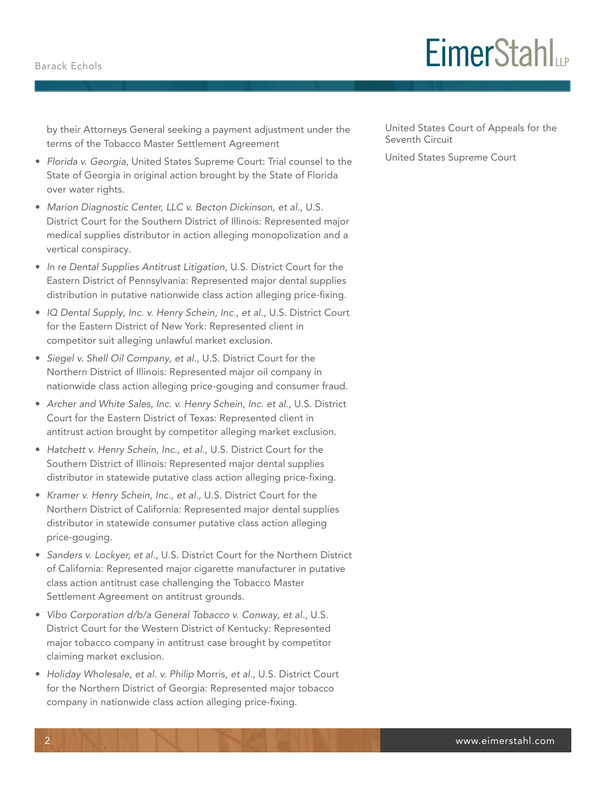#### Barack Echols

# **EimerStahl**

by their Attorneys General seeking a payment adjustment under the terms of the Tobacco Master Settlement Agreement

- *Florida v. Georgia*, United States Supreme Court: Trial counsel to the State of Georgia in original action brought by the State of Florida over water rights.
- *Marion Diagnostic Center, LLC v. Becton Dickinson, et al.*, U.S. District Court for the Southern District of Illinois: Represented major medical supplies distributor in action alleging monopolization and a vertical conspiracy.
- *In re Dental Supplies Antitrust Litigation*, U.S. District Court for the Eastern District of Pennsylvania: Represented major dental supplies distribution in putative nationwide class action alleging price-fixing.
- *IQ Dental Supply, Inc. v. Henry Schein, Inc., et al.*, U.S. District Court for the Eastern District of New York: Represented client in competitor suit alleging unlawful market exclusion.
- *Siegel v. Shell Oil Company, et al.*, U.S. District Court for the Northern District of Illinois: Represented major oil company in nationwide class action alleging price-gouging and consumer fraud.
- *Archer and White Sales, Inc. v. Henry Schein, Inc. et al.*, U.S. District Court for the Eastern District of Texas: Represented client in antitrust action brought by competitor alleging market exclusion.
- *Hatchett v. Henry Schein, Inc., et al.*, U.S. District Court for the Southern District of Illinois: Represented major dental supplies distributor in statewide putative class action alleging price-fixing.
- *Kramer v. Henry Schein, Inc., et al.,* U.S. District Court for the Northern District of California: Represented major dental supplies distributor in statewide consumer putative class action alleging price-gouging.
- *Sanders v. Lockyer, et al.*, U.S. District Court for the Northern District of California: Represented major cigarette manufacturer in putative class action antitrust case challenging the Tobacco Master Settlement Agreement on antitrust grounds.
- *Vibo Corporation d/b/a General Tobacco v. Conway, et al.*, U.S. District Court for the Western District of Kentucky: Represented major tobacco company in antitrust case brought by competitor claiming market exclusion.
- *Holiday Wholesale, et al. v. Philip* Morris*, et al.*, U.S. District Court for the Northern District of Georgia: Represented major tobacco company in nationwide class action alleging price-fixing.

United States Court of Appeals for the Seventh Circuit

United States Supreme Court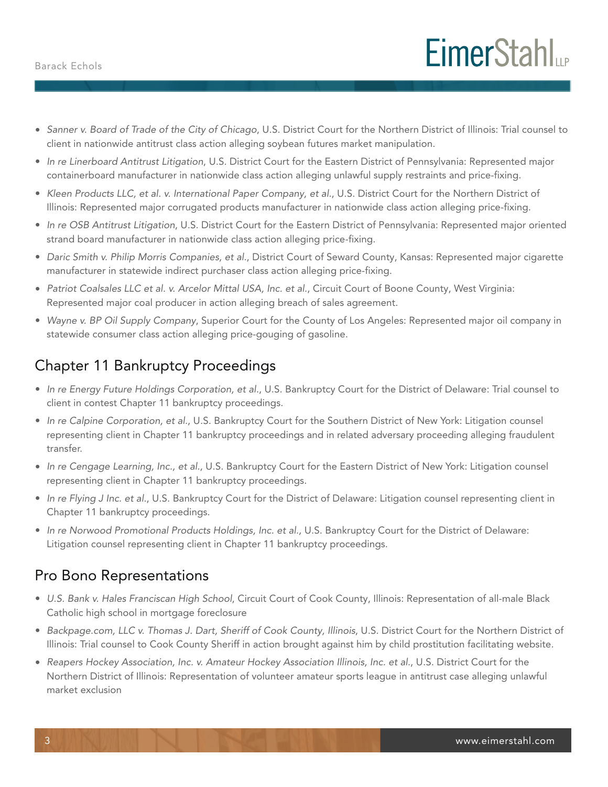- *Sanner v. Board of Trade of the City of Chicago*, U.S. District Court for the Northern District of Illinois: Trial counsel to client in nationwide antitrust class action alleging soybean futures market manipulation.
- *In re Linerboard Antitrust Litigation*, U.S. District Court for the Eastern District of Pennsylvania: Represented major containerboard manufacturer in nationwide class action alleging unlawful supply restraints and price-fixing.
- *Kleen Products LLC, et al. v. International Paper Company, et al.*, U.S. District Court for the Northern District of Illinois: Represented major corrugated products manufacturer in nationwide class action alleging price-fixing.
- *In re OSB Antitrust Litigation*, U.S. District Court for the Eastern District of Pennsylvania: Represented major oriented strand board manufacturer in nationwide class action alleging price-fixing.
- *Daric Smith v. Philip Morris Companies, et al.*, District Court of Seward County, Kansas: Represented major cigarette manufacturer in statewide indirect purchaser class action alleging price-fixing.
- *Patriot Coalsales LLC et al. v. Arcelor Mittal USA, Inc. et al.*, Circuit Court of Boone County, West Virginia: Represented major coal producer in action alleging breach of sales agreement.
- *Wayne v. BP Oil Supply Company*, Superior Court for the County of Los Angeles: Represented major oil company in statewide consumer class action alleging price-gouging of gasoline.

# Chapter 11 Bankruptcy Proceedings

- *In re Energy Future Holdings Corporation, et al.*, U.S. Bankruptcy Court for the District of Delaware: Trial counsel to client in contest Chapter 11 bankruptcy proceedings.
- *In re Calpine Corporation, et al.*, U.S. Bankruptcy Court for the Southern District of New York: Litigation counsel representing client in Chapter 11 bankruptcy proceedings and in related adversary proceeding alleging fraudulent transfer.
- *In re Cengage Learning, Inc., et al.*, U.S. Bankruptcy Court for the Eastern District of New York: Litigation counsel representing client in Chapter 11 bankruptcy proceedings.
- *In re Flying J Inc. et al.*, U.S. Bankruptcy Court for the District of Delaware: Litigation counsel representing client in Chapter 11 bankruptcy proceedings.
- *In re Norwood Promotional Products Holdings, Inc. et al.,* U.S. Bankruptcy Court for the District of Delaware: Litigation counsel representing client in Chapter 11 bankruptcy proceedings.

## Pro Bono Representations

- *U.S. Bank v. Hales Franciscan High School*, Circuit Court of Cook County, Illinois: Representation of all-male Black Catholic high school in mortgage foreclosure
- *Backpage.com, LLC v. Thomas J. Dart, Sheriff of Cook County, Illinois*, U.S. District Court for the Northern District of Illinois: Trial counsel to Cook County Sheriff in action brought against him by child prostitution facilitating website.
- *Reapers Hockey Association, Inc. v. Amateur Hockey Association Illinois, Inc. et al.*, U.S. District Court for the Northern District of Illinois: Representation of volunteer amateur sports league in antitrust case alleging unlawful market exclusion